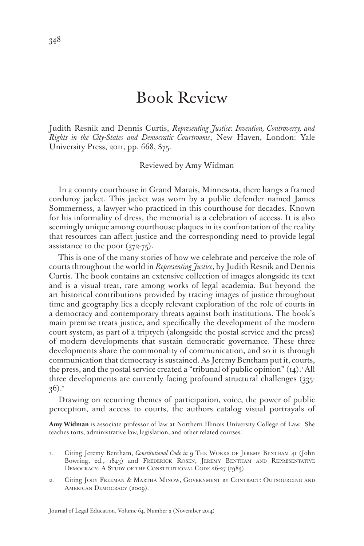## Book Review

Judith Resnik and Dennis Curtis, *Representing Justice: Invention, Controversy, and Rights in the City-States and Democratic Courtrooms*, New Haven, London: Yale University Press, 2011, pp. 668, \$75.

Reviewed by Amy Widman

In a county courthouse in Grand Marais, Minnesota, there hangs a framed corduroy jacket. This jacket was worn by a public defender named James Sommerness, a lawyer who practiced in this courthouse for decades. Known for his informality of dress, the memorial is a celebration of access. It is also seemingly unique among courthouse plaques in its confrontation of the reality that resources can affect justice and the corresponding need to provide legal assistance to the poor (372-75).

This is one of the many stories of how we celebrate and perceive the role of courts throughout the world in *Representing Justice*, by Judith Resnik and Dennis Curtis. The book contains an extensive collection of images alongside its text and is a visual treat, rare among works of legal academia. But beyond the art historical contributions provided by tracing images of justice throughout time and geography lies a deeply relevant exploration of the role of courts in a democracy and contemporary threats against both institutions. The book's main premise treats justice, and specifically the development of the modern court system, as part of a triptych (alongside the postal service and the press) of modern developments that sustain democratic governance. These three developments share the commonality of communication, and so it is through communication that democracy is sustained. As Jeremy Bentham put it, courts, the press, and the postal service created a "tribunal of public opinion"  $\left( \text{\tiny I4}\right)$ .' All three developments are currently facing profound structural challenges (335-  $(36)^2$ 

Drawing on recurring themes of participation, voice, the power of public perception, and access to courts, the authors catalog visual portrayals of

**Amy Widman** is associate professor of law at Northern Illinois University College of Law. She teaches torts, administrative law, legislation, and other related courses.

- 1. Citing Jeremy Bentham, *Constitutional Code in* 9 The Works of Jeremy Bentham 41 (John Bowring, ed., 1843) and Frederick Rosen, Jeremy Bentham and Representative DEMOCRACY: A STUDY OF THE CONSTITUTIONAL CODE 26-27 (1983).
- 2. Citing Jody Freeman & Martha Minow, Government by Contract: Outsourcing and AMERICAN DEMOCRACY (2009).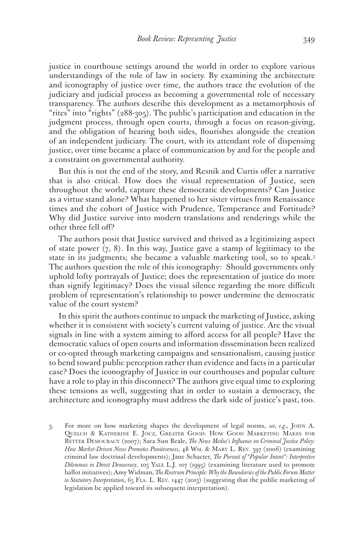justice in courthouse settings around the world in order to explore various understandings of the role of law in society. By examining the architecture and iconography of justice over time, the authors trace the evolution of the judiciary and judicial process as becoming a governmental role of necessary transparency. The authors describe this development as a metamorphosis of "rites" into "rights" (288-305). The public's participation and education in the judgment process, through open courts, through a focus on reason-giving, and the obligation of hearing both sides, flourishes alongside the creation of an independent judiciary. The court, with its attendant role of dispensing justice, over time became a place of communication by and for the people and a constraint on governmental authority.

But this is not the end of the story, and Resnik and Curtis offer a narrative that is also critical. How does the visual representation of Justice, seen throughout the world, capture these democratic developments? Can Justice as a virtue stand alone? What happened to her sister virtues from Renaissance times and the cohort of Justice with Prudence, Temperance and Fortitude? Why did Justice survive into modern translations and renderings while the other three fell off?

The authors posit that Justice survived and thrived as a legitimizing aspect of state power  $(7, 8)$ . In this way, Justice gave a stamp of legitimacy to the state in its judgments; she became a valuable marketing tool, so to speak.3 The authors question the role of this iconography: Should governments only uphold lofty portrayals of Justice; does the representation of justice do more than signify legitimacy? Does the visual silence regarding the more difficult problem of representation's relationship to power undermine the democratic value of the court system?

In this spirit the authors continue to unpack the marketing of Justice, asking whether it is consistent with society's current valuing of justice. Are the visual signals in line with a system aiming to afford access for all people? Have the democratic values of open courts and information dissemination been realized or co-opted through marketing campaigns and sensationalism, causing justice to bend toward public perception rather than evidence and facts in a particular case? Does the iconography of Justice in our courthouses and popular culture have a role to play in this disconnect? The authors give equal time to exploring these tensions as well, suggesting that in order to sustain a democracy, the architecture and iconography must address the dark side of justice's past, too.

3. For more on how marketing shapes the development of legal norms, *see, e.g.*, John A. Quelch & Katherine E. Jocz, Greater Good: How Good Marketing Makes for BETTER DEMOCRACY (2007); Sara Sun Beale, *The News Media's Influence on Criminal Justice Policy: How Market-Driven News Promotes Punitiveness*, 48 Wm. & Mary L. Rev. 397 (2006) (examining criminal law doctrinal developments); Jane Schacter, *The Pursuit of "Popular Intent": Interpretive Dilemmas in Direct Democracy*, 105 Yale L.J. 107 (1995) (examining literature used to promote ballot initiatives); Amy Widman, *The Rostrum Principle: Why the Boundaries of the Public Forum Matter*  to Statutory Interpretation, 65 FLA. L. REV. 1447 (2013) (suggesting that the public marketing of legislation be applied toward its subsequent interpretation).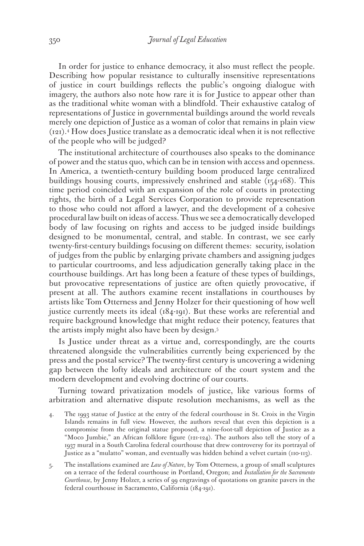In order for justice to enhance democracy, it also must reflect the people. Describing how popular resistance to culturally insensitive representations of justice in court buildings reflects the public's ongoing dialogue with imagery, the authors also note how rare it is for Justice to appear other than as the traditional white woman with a blindfold. Their exhaustive catalog of representations of Justice in governmental buildings around the world reveals merely one depiction of Justice as a woman of color that remains in plain view (121).4 How does Justice translate as a democratic ideal when it is not reflective of the people who will be judged?

The institutional architecture of courthouses also speaks to the dominance of power and the status quo, which can be in tension with access and openness. In America, a twentieth-century building boom produced large centralized buildings housing courts, impressively enshrined and stable (154-168). This time period coincided with an expansion of the role of courts in protecting rights, the birth of a Legal Services Corporation to provide representation to those who could not afford a lawyer, and the development of a cohesive procedural law built on ideas of access. Thus we see a democratically developed body of law focusing on rights and access to be judged inside buildings designed to be monumental, central, and stable. In contrast, we see early twenty-first-century buildings focusing on different themes: security, isolation of judges from the public by enlarging private chambers and assigning judges to particular courtrooms, and less adjudication generally taking place in the courthouse buildings. Art has long been a feature of these types of buildings, but provocative representations of justice are often quietly provocative, if present at all. The authors examine recent installations in courthouses by artists like Tom Otterness and Jenny Holzer for their questioning of how well justice currently meets its ideal (184-191). But these works are referential and require background knowledge that might reduce their potency, features that the artists imply might also have been by design.5

Is Justice under threat as a virtue and, correspondingly, are the courts threatened alongside the vulnerabilities currently being experienced by the press and the postal service? The twenty-first century is uncovering a widening gap between the lofty ideals and architecture of the court system and the modern development and evolving doctrine of our courts.

Turning toward privatization models of justice, like various forms of arbitration and alternative dispute resolution mechanisms, as well as the

- 4. The 1993 statue of Justice at the entry of the federal courthouse in St. Croix in the Virgin Islands remains in full view. However, the authors reveal that even this depiction is a compromise from the original statue proposed, a nine-foot-tall depiction of Justice as a "Moco Jumbie," an African folklore figure (121-124). The authors also tell the story of a 1937 mural in a South Carolina federal courthouse that drew controversy for its portrayal of Justice as a "mulatto" woman, and eventually was hidden behind a velvet curtain (110-113).
- 5. The installations examined are *Law of Nature*, by Tom Otterness, a group of small sculptures on a terrace of the federal courthouse in Portland, Oregon; and *Installation for the Sacramento Courthouse*, by Jenny Holzer, a series of 99 engravings of quotations on granite pavers in the federal courthouse in Sacramento, California (184-191).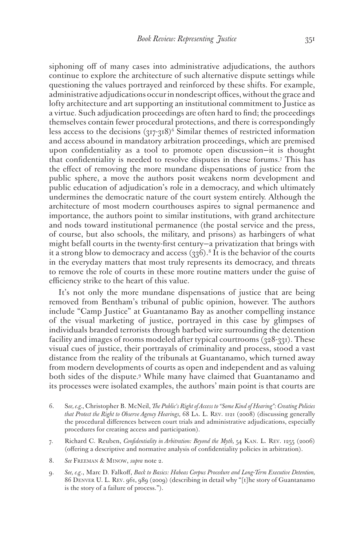siphoning off of many cases into administrative adjudications, the authors continue to explore the architecture of such alternative dispute settings while questioning the values portrayed and reinforced by these shifts. For example, administrative adjudications occur in nondescript offices, without the grace and lofty architecture and art supporting an institutional commitment to Justice as a virtue. Such adjudication proceedings are often hard to find; the proceedings themselves contain fewer procedural protections, and there is correspondingly less access to the decisions  $(317-318)^6$  Similar themes of restricted information and access abound in mandatory arbitration proceedings, which are premised upon confidentiality as a tool to promote open discussion—it is thought that confidentiality is needed to resolve disputes in these forums.7 This has the effect of removing the more mundane dispensations of justice from the public sphere, a move the authors posit weakens norm development and public education of adjudication's role in a democracy, and which ultimately undermines the democratic nature of the court system entirely. Although the architecture of most modern courthouses aspires to signal permanence and importance, the authors point to similar institutions, with grand architecture and nods toward institutional permanence (the postal service and the press, of course, but also schools, the military, and prisons) as harbingers of what might befall courts in the twenty-first century—a privatization that brings with it a strong blow to democracy and access  $(336).$ <sup>8</sup> It is the behavior of the courts in the everyday matters that most truly represents its democracy, and threats to remove the role of courts in these more routine matters under the guise of efficiency strike to the heart of this value.

It's not only the more mundane dispensations of justice that are being removed from Bentham's tribunal of public opinion, however. The authors include "Camp Justice" at Guantanamo Bay as another compelling instance of the visual marketing of justice, portrayed in this case by glimpses of individuals branded terrorists through barbed wire surrounding the detention facility and images of rooms modeled after typical courtrooms (328-331). These visual cues of justice, their portrayals of criminality and process, stood a vast distance from the reality of the tribunals at Guantanamo, which turned away from modern developments of courts as open and independent and as valuing both sides of the dispute.9 While many have claimed that Guantanamo and its processes were isolated examples, the authors' main point is that courts are

- 6. S*ee, e.g.*, Christopher B. McNeil, *The Public's Right of Access to "Some Kind of Hearing": Creating Policies that Protect the Right to Observe Agency Hearings,* 68 La. L. Rev. 1121 (2008) (discussing generally the procedural differences between court trials and administrative adjudications, especially procedures for creating access and participation).
- 7. Richard C. Reuben, *Confidentiality in Arbitration: Beyond the Myth,* 54 Kan. L. Rev. 1255 (2006) (offering a descriptive and normative analysis of confidentiality policies in arbitration).
- 8. *See* Freeman & Minow, *supra* note 2.
- 9. *See, e.g*., Marc D. Falkoff, *Back to Basics: Habeas Corpus Procedure and Long-Term Executive Detention,* 86 Denver U. L. Rev. 961, 989 (2009) (describing in detail why "[t]he story of Guantanamo is the story of a failure of process.").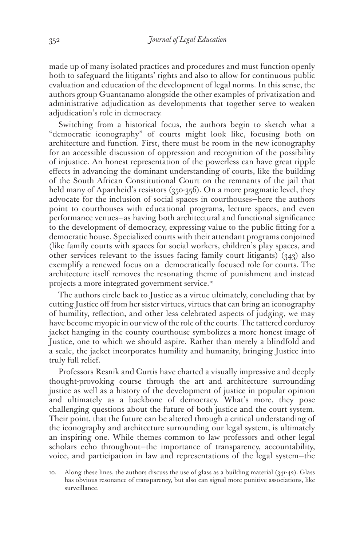made up of many isolated practices and procedures and must function openly both to safeguard the litigants' rights and also to allow for continuous public evaluation and education of the development of legal norms. In this sense, the authors group Guantanamo alongside the other examples of privatization and administrative adjudication as developments that together serve to weaken adjudication's role in democracy.

Switching from a historical focus, the authors begin to sketch what a "democratic iconography" of courts might look like, focusing both on architecture and function. First, there must be room in the new iconography for an accessible discussion of oppression and recognition of the possibility of injustice. An honest representation of the powerless can have great ripple effects in advancing the dominant understanding of courts, like the building of the South African Constitutional Court on the remnants of the jail that held many of Apartheid's resistors (350-356). On a more pragmatic level, they advocate for the inclusion of social spaces in courthouses—here the authors point to courthouses with educational programs, lecture spaces, and even performance venues—as having both architectural and functional significance to the development of democracy, expressing value to the public fitting for a democratic house. Specialized courts with their attendant programs conjoined (like family courts with spaces for social workers, children's play spaces, and other services relevant to the issues facing family court litigants) (343) also exemplify a renewed focus on a democratically focused role for courts. The architecture itself removes the resonating theme of punishment and instead projects a more integrated government service.10

The authors circle back to Justice as a virtue ultimately, concluding that by cutting Justice off from her sister virtues, virtues that can bring an iconography of humility, reflection, and other less celebrated aspects of judging, we may have become myopic in our view of the role of the courts. The tattered corduroy jacket hanging in the county courthouse symbolizes a more honest image of Justice, one to which we should aspire. Rather than merely a blindfold and a scale, the jacket incorporates humility and humanity, bringing Justice into truly full relief.

Professors Resnik and Curtis have charted a visually impressive and deeply thought-provoking course through the art and architecture surrounding justice as well as a history of the development of justice in popular opinion and ultimately as a backbone of democracy. What's more, they pose challenging questions about the future of both justice and the court system. Their point, that the future can be altered through a critical understanding of the iconography and architecture surrounding our legal system, is ultimately an inspiring one. While themes common to law professors and other legal scholars echo throughout—the importance of transparency, accountability, voice, and participation in law and representations of the legal system—the

<sup>10.</sup> Along these lines, the authors discuss the use of glass as a building material (341-42). Glass has obvious resonance of transparency, but also can signal more punitive associations, like surveillance.